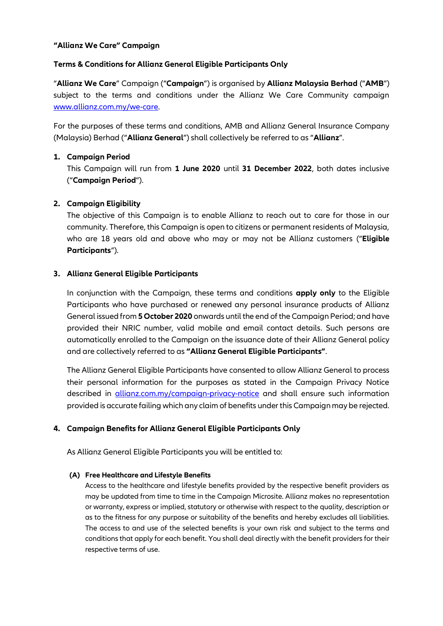## **"Allianz We Care" Campaign**

## **Terms & Conditions for Allianz General Eligible Participants Only**

"**Allianz We Care**" Campaign ("**Campaign**") is organised by **Allianz Malaysia Berhad** ("**AMB**") subject to the terms and conditions under the Allianz We Care Community campaign [www.allianz.com.my/we-care.](http://www.allianz.com.my/we-care)

For the purposes of these terms and conditions, AMB and Allianz General Insurance Company (Malaysia) Berhad ("**Allianz General**") shall collectively be referred to as "**Allianz**".

## **1. Campaign Period**

This Campaign will run from **1 June 2020** until **31 December 2022**, both dates inclusive ("**Campaign Period**").

## **2. Campaign Eligibility**

The objective of this Campaign is to enable Allianz to reach out to care for those in our community. Therefore, this Campaign is open to citizens or permanent residents of Malaysia, who are 18 years old and above who may or may not be Allianz customers ("**Eligible Participants**").

## **3. Allianz General Eligible Participants**

In conjunction with the Campaign, these terms and conditions **apply only** to the Eligible Participants who have purchased or renewed any personal insurance products of Allianz General issued from **5 October 2020** onwards until the end of the Campaign Period; and have provided their NRIC number, valid mobile and email contact details. Such persons are automatically enrolled to the Campaign on the issuance date of their Allianz General policy and are collectively referred to as **"Allianz General Eligible Participants"**.

The Allianz General Eligible Participants have consented to allow Allianz General to process their personal information for the purposes as stated in the Campaign Privacy Notice described in **[allianz.com.my/campaign-privacy-notice](https://www.allianz.com.my/campaign-privacy-notice)** and shall ensure such information provided is accurate failing which any claim of benefits under this Campaign may be rejected.

# **4. Campaign Benefits for Allianz General Eligible Participants Only**

As Allianz General Eligible Participants you will be entitled to:

#### **(A) Free Healthcare and Lifestyle Benefits**

Access to the healthcare and lifestyle benefits provided by the respective benefit providers as may be updated from time to time in the Campaign Microsite. Allianz makes no representation or warranty, express or implied, statutory or otherwise with respect to the quality, description or as to the fitness for any purpose or suitability of the benefits and hereby excludes all liabilities. The access to and use of the selected benefits is your own risk and subject to the terms and conditions that apply for each benefit. You shall deal directly with the benefit providers for their respective terms of use.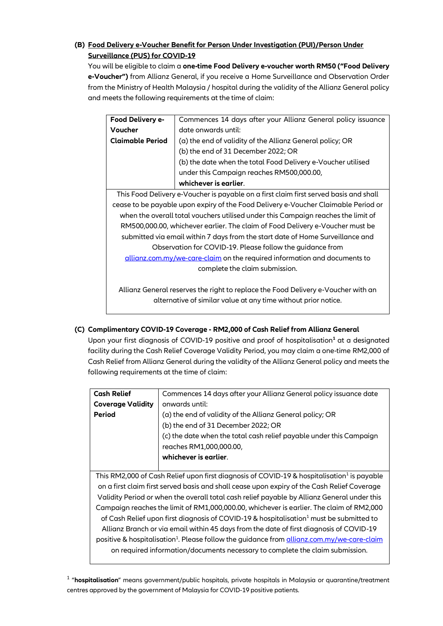# **(B) Food Delivery e-Voucher Benefit for Person Under Investigation (PUI)/Person Under Surveillance (PUS) for COVID-19**

You will be eligible to claim a **one-time Food Delivery e-voucher worth RM50 ("Food Delivery e-Voucher")** from Allianz General, if you receive a Home Surveillance and Observation Order from the Ministry of Health Malaysia / hospital during the validity of the Allianz General policy and meets the following requirements at the time of claim:

| <b>Food Delivery e-</b>                                                               | Commences 14 days after your Allianz General policy issuance |  |
|---------------------------------------------------------------------------------------|--------------------------------------------------------------|--|
| Voucher                                                                               | date onwards until:                                          |  |
| <b>Claimable Period</b>                                                               | (a) the end of validity of the Allianz General policy; OR    |  |
|                                                                                       | (b) the end of 31 December 2022; OR                          |  |
|                                                                                       | (b) the date when the total Food Delivery e-Voucher utilised |  |
|                                                                                       | under this Campaign reaches RM500,000.00,                    |  |
|                                                                                       | whichever is earlier.                                        |  |
| This Food Delivery e-Voucher is payable on a first claim first served basis and shall |                                                              |  |
| cease to be payable upon expiry of the Food Delivery e-Voucher Claimable Period or    |                                                              |  |
| when the overall total vouchers utilised under this Campaign reaches the limit of     |                                                              |  |
| RM500,000.00, whichever earlier. The claim of Food Delivery e-Voucher must be         |                                                              |  |
| submitted via email within 7 days from the start date of Home Surveillance and        |                                                              |  |
| Observation for COVID-19. Please follow the guidance from                             |                                                              |  |
| allianz.com.my/we-care-claim on the required information and documents to             |                                                              |  |
| complete the claim submission.                                                        |                                                              |  |
|                                                                                       |                                                              |  |
| Allianz General reserves the right to replace the Food Delivery e-Voucher with an     |                                                              |  |
| alternative of similar value at any time without prior notice.                        |                                                              |  |

# **(C) Complimentary COVID-19 Coverage - RM2,000 of Cash Relief from Allianz General**

Upon your first diagnosis of COVID-19 positive and proof of hospitalisation**<sup>1</sup>** at a designated facility during the Cash Relief Coverage Validity Period, you may claim a one-time RM2,000 of Cash Relief from Allianz General during the validity of the Allianz General policy and meets the following requirements at the time of claim:

| <b>Cash Relief</b>                                                                                            | Commences 14 days after your Allianz General policy issuance date   |  |
|---------------------------------------------------------------------------------------------------------------|---------------------------------------------------------------------|--|
| <b>Coverage Validity</b>                                                                                      | onwards until:                                                      |  |
| Period                                                                                                        | (a) the end of validity of the Allianz General policy; OR           |  |
|                                                                                                               | (b) the end of 31 December 2022; OR                                 |  |
|                                                                                                               | (c) the date when the total cash relief payable under this Campaign |  |
|                                                                                                               | reaches RM1,000,000.00,                                             |  |
|                                                                                                               | whichever is earlier.                                               |  |
|                                                                                                               |                                                                     |  |
| This RM2,000 of Cash Relief upon first diagnosis of COVID-19 & hospitalisation <sup>1</sup> is payable        |                                                                     |  |
| on a first claim first served basis and shall cease upon expiry of the Cash Relief Coverage                   |                                                                     |  |
| Validity Period or when the overall total cash relief payable by Allianz General under this                   |                                                                     |  |
| Campaign reaches the limit of RM1,000,000.00, whichever is earlier. The claim of RM2,000                      |                                                                     |  |
| of Cash Relief upon first diagnosis of COVID-19 & hospitalisation <sup>1</sup> must be submitted to           |                                                                     |  |
| Allianz Branch or via email within 45 days from the date of first diagnosis of COVID-19                       |                                                                     |  |
| positive & hospitalisation <sup>1</sup> . Please follow the guidance from <u>allianz.com.my/we-care-claim</u> |                                                                     |  |
| on required information/documents necessary to complete the claim submission.                                 |                                                                     |  |
|                                                                                                               |                                                                     |  |

1 "**hospitalisation**" means government/public hospitals, private hospitals in Malaysia or quarantine/treatment centres approved by the government of Malaysia for COVID-19 positive patients.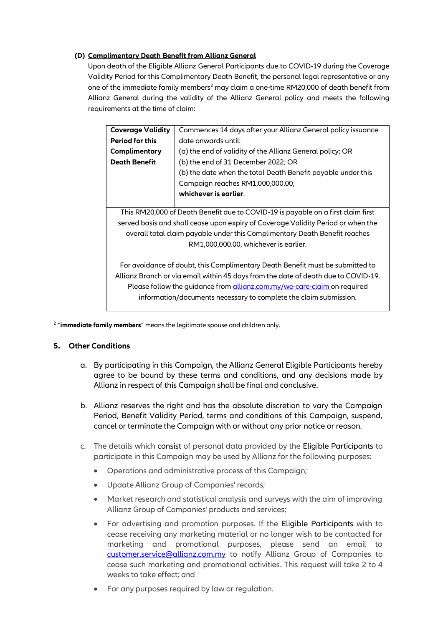## **(D) Complimentary Death Benefit from Allianz General**

Upon death of the Eligible Allianz General Participants due to COVID-19 during the Coverage Validity Period for this Complimentary Death Benefit, the personal legal representative or any one of the immediate family members<sup>2</sup> may claim a one-time RM20,000 of death benefit from Allianz General during the validity of the Allianz General policy and meets the following requirements at the time of claim:

| <b>Coverage Validity</b>                                                           | Commences 14 days after your Allianz General policy issuance |  |
|------------------------------------------------------------------------------------|--------------------------------------------------------------|--|
| <b>Period for this</b>                                                             | date onwards until:                                          |  |
| Complimentary                                                                      | (a) the end of validity of the Allianz General policy; OR    |  |
| <b>Death Benefit</b>                                                               | (b) the end of 31 December 2022; OR                          |  |
|                                                                                    | (b) the date when the total Death Benefit payable under this |  |
|                                                                                    | Campaign reaches RM1,000,000.00,                             |  |
|                                                                                    | whichever is earlier.                                        |  |
|                                                                                    |                                                              |  |
| This RM20,000 of Death Benefit due to COVID-19 is payable on a first claim first   |                                                              |  |
| served basis and shall cease upon expiry of Coverage Validity Period or when the   |                                                              |  |
| overall total claim payable under this Complimentary Death Benefit reaches         |                                                              |  |
| RM1,000,000.00, whichever is earlier.                                              |                                                              |  |
|                                                                                    |                                                              |  |
| For avoidance of doubt, this Complimentary Death Benefit must be submitted to      |                                                              |  |
| Allianz Branch or via email within 45 days from the date of death due to COVID-19. |                                                              |  |
| Please follow the guidance from allianz.com.my/we-care-claim on required           |                                                              |  |
| information/documents necessary to complete the claim submission.                  |                                                              |  |

2 "**immediate family members**" means the legitimate spouse and children only.

# **5. Other Conditions**

- a. By participating in this Campaign, the Allianz General Eligible Participants hereby agree to be bound by these terms and conditions, and any decisions made by Allianz in respect of this Campaign shall be final and conclusive.
- b. Allianz reserves the right and has the absolute discretion to vary the Campaign Period, Benefit Validity Period, terms and conditions of this Campaign, suspend, cancel or terminate the Campaign with or without any prior notice or reason.
- c. The details which consist of personal data provided by the Eligible Participants to participate in this Campaign may be used by Allianz for the following purposes:
	- Operations and administrative process of this Campaign;
	- Update Allianz Group of Companies' records;
	- Market research and statistical analysis and surveys with the aim of improving Allianz Group of Companies' products and services;
	- For advertising and promotion purposes. If the Eligible Participants wish to cease receiving any marketing material or no longer wish to be contacted for marketing and promotional purposes, please send an email to [customer.service@allianz.com.my](mailto:customer.service@allianz.com.my) to notify Allianz Group of Companies to cease such marketing and promotional activities. This request will take 2 to 4 weeks to take effect; and
	- For any purposes required by law or regulation.